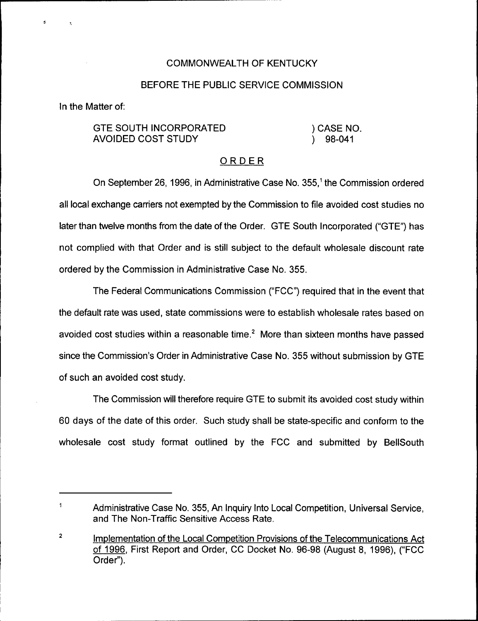## COMMONN/EALTH OF KENTUCKY

## BEFORE THE PUBLIC SERVICE COMMISSION

In the Matter of:

d

## GTE SOUTH INCORPORATED AVOIDED COST STUDY

) CASE NO. ) 98-041

## ORDER

On September 26, 1996, in Administrative Case No. 355,<sup>1</sup> the Commission ordered all local exchange carriers not exempted by the Commission to file avoided cost studies no later than twelve months from the date of the Order. GTE South Incorporated ("GTE") has not complied with that Order and is still subject to the default wholesale discount rate ordered by the Commission in Administrative Case No. 355.

The Federal Communications Commission ("FCC") required that in the event that the default rate was used, state commissions were to establish wholesale rates based on avoided cost studies within a reasonable time. $<sup>2</sup>$  More than sixteen months have passed</sup> since the Commission's Order in Administrative Case No. 355 without submission by GTE of such an avoided cost study.

The Commission will therefore require GTE to submit its avoided cost study within 60 days of the date of this order. Such study shall be state-specific and conform to the wholesale cost study format outlined by the FCC and submitted by BellSouth

 $\mathbf{1}$ Administrative Case No. 355, An Inquiry Into Local Competition, Universal Service, and The Non-Traffic Sensitive Access Rate.

 $\overline{\mathbf{z}}$ Implementation of the Local Competition Provisions of the Telecommunications Act of 1996, First Report and Order, CC Docket No. 96-98 (August 8, 1996), ("FCC Order").